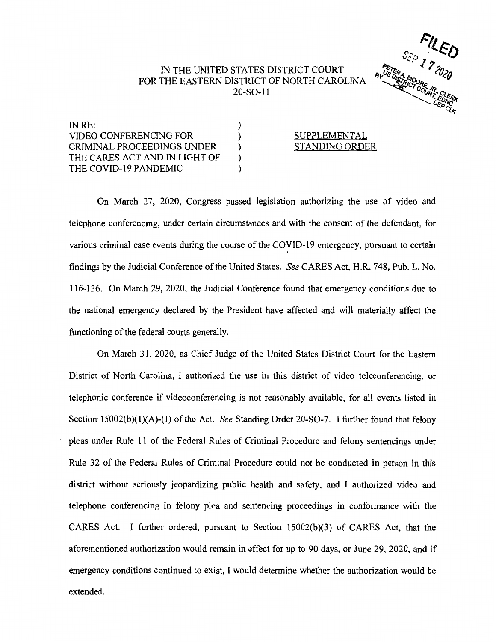## IN THE UNITED STATES DISTRICT COURT FOR THE EASTERN DISTRICT OF NORTH CAROLINA 20-SO-l l

) ) ) ) )



INRE: VIDEO CONFERENCING FOR CRIMINAL PROCEEDINGS UNDER THE CARES ACT AND IN LIGHT OF THE COVID-19 PANDEMIC

## SUPPLEMENTAL STANDING ORDER

On March 27, 2020, Congress passed legislation authorizing the use of video and telephone conferencing, under certain circumstances and with the consent of the defendant, for various criminal case events during the course of the COVID-19 emergency, pursuant to certain findings by the Judicial Conference of the United States. *See* CARES Act, H.R. 748, Pub. L. No. 116-136. On March 29, 2020, the Judicial Conference found that emergency conditions due to the national emergency declared by the President have affected and will materially affect the functioning of the federal courts generally.

On March 31, 2020, as Chief Judge of the United States District Court for the Eastern District of North Carolina, I authorized the use in this district of video teleconferencing, or telephonic conference if videoconferencing is not reasonably available, for all events listed in Section 15002(b)(l)(A)-(J) of the Act. *See* Standing Order 20-SO-7. I further found that felony pleas under Rule 11 of the Federal Rules of Criminal Procedure and felony sentencings under Rule 32 of the Federal Rules of Criminal Procedure could not be conducted in person in this district without seriously jeopardizing public health and safety. and I authorized video and telephone conferencing in felony plea and sentencing proceedings in conformance with the CARES Act. I further ordered, pursuant to Section 15002(b)(3) of CARES Act, that the aforementioned authorization would remain in effect for up to 90 days, or June 29, 2020, and if emergency conditions continued to exist, I would determine whether the authorization would be extended.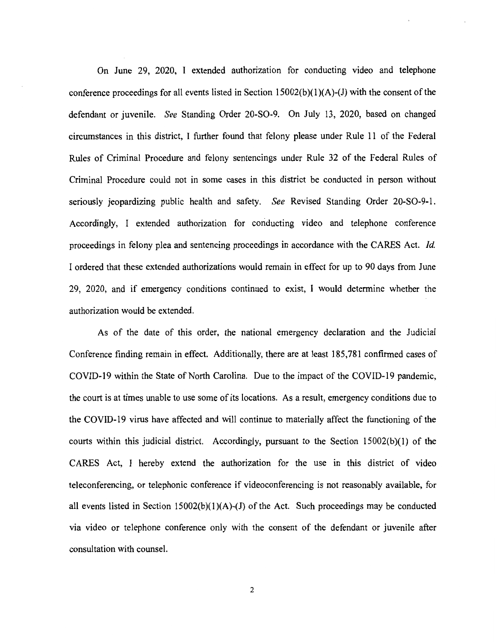On June 29, 2020, I extended authorization for conducting video and telephone conference proceedings for all events listed in Section  $15002(b)(1)(A)-(J)$  with the consent of the defendant or juvenile. *See* Standing Order 20-SO-9. On July 13, 2020, based on changed circumstances in this district, I further found that felony please under Rule 11 of the Federal Rules of Criminal Procedure and felony sentencings under Rule 32 of the Federal Rules of Criminal Procedure could not in some cases in this district be conducted in person without seriously jeopardizing public health and safety. *See* Revised Standing Order 20-SO-9-1. Accordingly, I extended authorization for conducting video and telephone conference proceedings in felony plea and sentencing proceedings in accordance with the CARES Act. *Id.*  I ordered that these extended authorizations would remain in effect for up to 90 days from June 29, 2020, and if emergency conditions continued to exist, I would determine whether the authorization would be extended.

As of the date of this order, the national emergency declaration and the Judicial Conference finding remain in effect. Additionally, there are at least 185,781 confirmed cases of COVID-19 within the State of North Carolina. Due to the impact of the COVID-19 pandemic, the court is at times unable to use some of its locations. As a result, emergency conditions due to the COVID-19 virus have affected and will continue to materially affect the functioning of the courts within this judicial district. Accordingly, pursuant to the Section 15002(b)(l) of the CARES Act, I hereby extend the authorization for the use in this district of video teleconferencing, or telephonic conference if videoconferencing is not reasonably available, for all events listed in Section  $15002(b)(1)(A)$ -(J) of the Act. Such proceedings may be conducted via video or telephone conference only with the consent of the defendant or juvenile after consultation with counsel.

2